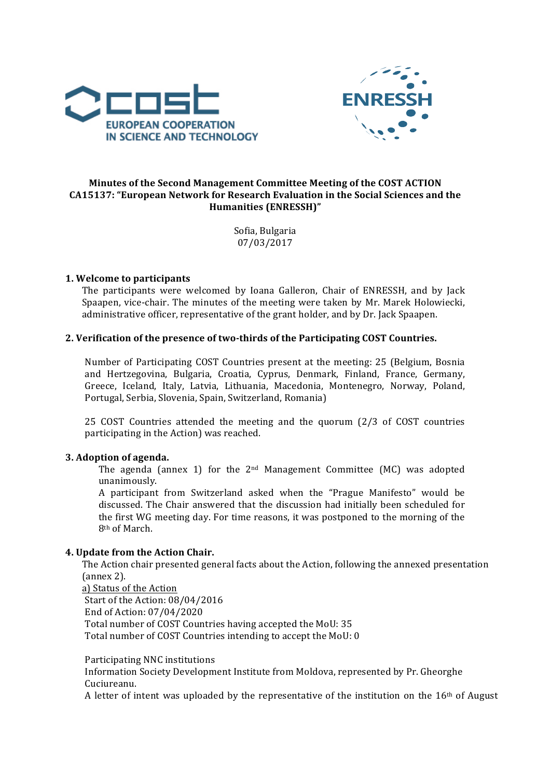



# Minutes of the Second Management Committee Meeting of the COST ACTION CA15137: "European Network for Research Evaluation in the Social Sciences and the **Humanities (ENRESSH)"**

Sofia, Bulgaria 07/03/2017

## **1. Welcome to participants**

The participants were welcomed by Ioana Galleron, Chair of ENRESSH, and by Jack Spaapen, vice-chair. The minutes of the meeting were taken by Mr. Marek Holowiecki, administrative officer, representative of the grant holder, and by Dr. Jack Spaapen.

## 2. Verification of the presence of two-thirds of the Participating COST Countries.

Number of Participating COST Countries present at the meeting: 25 (Belgium, Bosnia and Hertzegovina, Bulgaria, Croatia, Cyprus, Denmark, Finland, France, Germany, Greece, Iceland, Italy, Latvia, Lithuania, Macedonia, Montenegro, Norway, Poland, Portugal, Serbia, Slovenia, Spain, Switzerland, Romania)

25 COST Countries attended the meeting and the quorum (2/3 of COST countries participating in the Action) was reached.

#### **3. Adoption of agenda.**

The agenda (annex 1) for the  $2<sup>nd</sup>$  Management Committee (MC) was adopted unanimously.

A participant from Switzerland asked when the "Prague Manifesto" would be discussed. The Chair answered that the discussion had initially been scheduled for the first WG meeting day. For time reasons, it was postponed to the morning of the 8<sup>th</sup> of March.

#### **4. Update from the Action Chair.**

The Action chair presented general facts about the Action, following the annexed presentation (annex 2).

a) Status of the Action Start of the Action: 08/04/2016 End of Action: 07/04/2020 Total number of COST Countries having accepted the MoU: 35 Total number of COST Countries intending to accept the MoU: 0

Participating NNC institutions

Information Society Development Institute from Moldova, represented by Pr. Gheorghe Cuciureanu.

A letter of intent was uploaded by the representative of the institution on the  $16<sup>th</sup>$  of August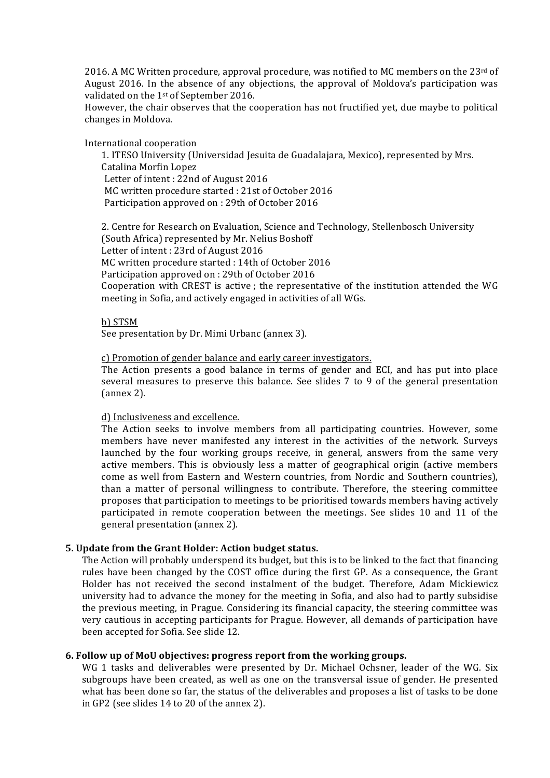2016. A MC Written procedure, approval procedure, was notified to MC members on the 23rd of August 2016. In the absence of any objections, the approval of Moldova's participation was validated on the 1<sup>st</sup> of September 2016.

However, the chair observes that the cooperation has not fructified yet, due maybe to political changes in Moldova.

International cooperation

1. ITESO University (Universidad Jesuita de Guadalajara, Mexico), represented by Mrs. Catalina Morfin Lopez Letter of intent : 22nd of August 2016 MC written procedure started : 21st of October 2016 Participation approved on : 29th of October 2016

2. Centre for Research on Evaluation, Science and Technology, Stellenbosch University (South Africa) represented by Mr. Nelius Boshoff Letter of intent : 23rd of August 2016 MC written procedure started : 14th of October 2016 Participation approved on : 29th of October 2016 Cooperation with CREST is active; the representative of the institution attended the WG meeting in Sofia, and actively engaged in activities of all WGs.

b) STSM See presentation by Dr. Mimi Urbanc (annex 3).

c) Promotion of gender balance and early career investigators.

The Action presents a good balance in terms of gender and ECI, and has put into place several measures to preserve this balance. See slides  $7$  to  $9$  of the general presentation  ${\rm (annex 2)}$ .

d) Inclusiveness and excellence.

The Action seeks to involve members from all participating countries. However, some members have never manifested any interest in the activities of the network. Surveys launched by the four working groups receive, in general, answers from the same very active members. This is obviously less a matter of geographical origin (active members come as well from Eastern and Western countries, from Nordic and Southern countries), than a matter of personal willingness to contribute. Therefore, the steering committee proposes that participation to meetings to be prioritised towards members having actively participated in remote cooperation between the meetings. See slides 10 and 11 of the general presentation (annex 2).

#### **5.** Update from the Grant Holder: Action budget status.

The Action will probably underspend its budget, but this is to be linked to the fact that financing rules have been changed by the COST office during the first GP. As a consequence, the Grant Holder has not received the second instalment of the budget. Therefore, Adam Mickiewicz university had to advance the money for the meeting in Sofia, and also had to partly subsidise the previous meeting, in Prague. Considering its financial capacity, the steering committee was very cautious in accepting participants for Prague. However, all demands of participation have been accepted for Sofia. See slide 12.

#### **6. Follow up of MoU objectives: progress report from the working groups.**

WG 1 tasks and deliverables were presented by Dr. Michael Ochsner, leader of the WG. Six subgroups have been created, as well as one on the transversal issue of gender. He presented what has been done so far, the status of the deliverables and proposes a list of tasks to be done in GP2 (see slides 14 to 20 of the annex 2).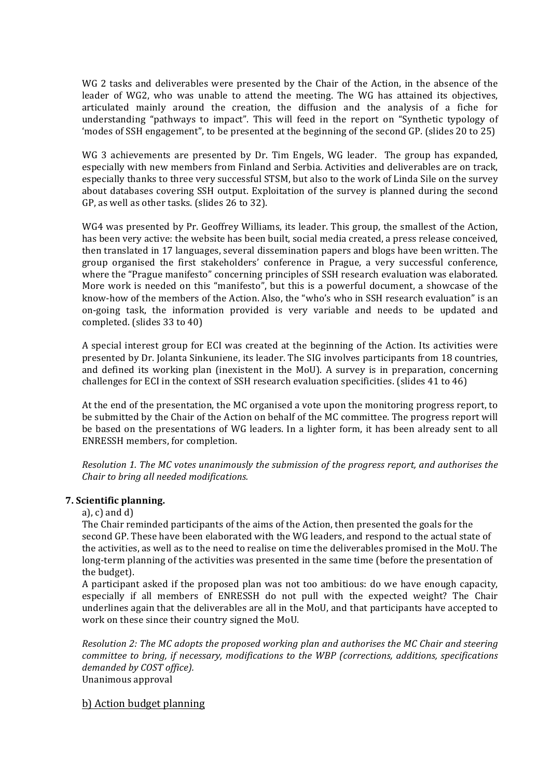WG 2 tasks and deliverables were presented by the Chair of the Action, in the absence of the leader of WG2, who was unable to attend the meeting. The WG has attained its objectives, articulated mainly around the creation, the diffusion and the analysis of a fiche for understanding "pathways to impact". This will feed in the report on "Synthetic typology of 'modes of SSH engagement", to be presented at the beginning of the second GP. (slides 20 to 25)

WG 3 achievements are presented by Dr. Tim Engels, WG leader. The group has expanded, especially with new members from Finland and Serbia. Activities and deliverables are on track, especially thanks to three very successful STSM, but also to the work of Linda Sile on the survey about databases covering SSH output. Exploitation of the survey is planned during the second GP, as well as other tasks. (slides 26 to 32).

WG4 was presented by Pr. Geoffrey Williams, its leader. This group, the smallest of the Action, has been very active: the website has been built, social media created, a press release conceived, then translated in 17 languages, several dissemination papers and blogs have been written. The group organised the first stakeholders' conference in Prague, a very successful conference, where the "Prague manifesto" concerning principles of SSH research evaluation was elaborated. More work is needed on this "manifesto", but this is a powerful document, a showcase of the know-how of the members of the Action. Also, the "who's who in SSH research evaluation" is an on-going task, the information provided is very variable and needs to be updated and completed. (slides 33 to 40)

A special interest group for ECI was created at the beginning of the Action. Its activities were presented by Dr. Jolanta Sinkuniene, its leader. The SIG involves participants from 18 countries, and defined its working plan (inexistent in the MoU). A survey is in preparation, concerning challenges for ECI in the context of SSH research evaluation specificities. (slides  $41$  to  $46$ )

At the end of the presentation, the MC organised a vote upon the monitoring progress report, to be submitted by the Chair of the Action on behalf of the MC committee. The progress report will be based on the presentations of WG leaders. In a lighter form, it has been already sent to all ENRESSH members, for completion.

*Resolution 1. The MC votes unanimously the submission of the progress report, and authorises the Chair to bring all needed modifications.* 

### **7. Scientific planning.**

a), c) and  $d$ )

The Chair reminded participants of the aims of the Action, then presented the goals for the second GP. These have been elaborated with the WG leaders, and respond to the actual state of the activities, as well as to the need to realise on time the deliverables promised in the MoU. The long-term planning of the activities was presented in the same time (before the presentation of the budget).

A participant asked if the proposed plan was not too ambitious: do we have enough capacity, especially if all members of ENRESSH do not pull with the expected weight? The Chair underlines again that the deliverables are all in the MoU, and that participants have accepted to work on these since their country signed the MoU.

*Resolution 2: The MC adopts the proposed working plan and authorises the MC Chair and steering committee to bring, if necessary, modifications to the WBP (corrections, additions, specifications* demanded by COST office). Unanimous approval

b) Action budget planning